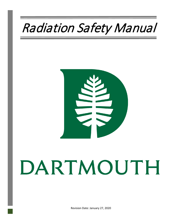# Radiation Safety Manual



# DARTMOUTH

Revision Date: January 27, 2020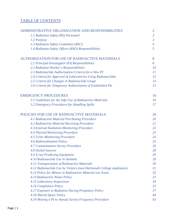#### TABLE OF CONTENTS

| ADMINISTRATIVE ORGANIZATION AND RESPONSIBILITIES                    | $\overline{2}$ |
|---------------------------------------------------------------------|----------------|
| 1.1 Radiation Safety (RS) Personnel                                 | $\overline{2}$ |
| 1.2 Purpose                                                         | $\mathfrak{Z}$ |
| 1.3 Radiation Safety Committee (RSC)                                | $\overline{4}$ |
| 1.4 Radiation Safety Officer (RSO) Responsibilities                 | 5              |
| <b>AUTHORIZATION FOR USE OF RADIOACTIVE MATERIALS</b>               | 8              |
| 2.1 Principal Investigator (PI) Responsibilities                    | 8              |
| 2.2 Radiation Worker's Responsibilities                             | 10             |
| 2.3 Radionuclide Authorization Criteria for a New PI                | 11             |
| 2.4 Criteria for Approval of Laboratories Using Radionuclides       | 12             |
| 2.5 Criteria for Changes in Radionuclide Usage                      | 14             |
| 2.6 Criteria for Temporary Authorization of Established PIs         | 15             |
| <b>EMERGENCY PROCEDURES</b>                                         | 16             |
| 3.1 Guidelines for the Safe Use of Radioactive Materials            | 16             |
| 3.2 Emergency Procedures for Handling Spills                        | 17             |
| POLICIES FOR USE OF RADIOACTIVE MATERIALS                           | 20             |
| 4.1 Radioactive Material Purchasing Procedure                       | 20             |
| 4.2 Radioactive Material Receiving Procedure                        | 21             |
| 4.3. External Radiation Monitoring Procedure                        | 22             |
| <b>4.4 Thyroid Monitoring Procedure</b>                             | 23             |
| 4.5 Urine Monitoring Procedure                                      | 24             |
| 4.6 Radioiodination Policy                                          | 25             |
| <b>4.7 Contamination Survey Procedure</b>                           | 26             |
| <b>4.8 Sealed Sources</b>                                           | 28             |
| 4.9 X-ray Producing Equipment                                       | 29             |
| 4.10 Radionuclide Use in Animals                                    | 29             |
| 4.11 Transportation of Radioactive Materials                        | 30             |
| 4.12 Radionuclide Use by Visitors (non-Dartmouth College employees) | 31             |
| 4.13 Policy for Minors in Radioactive Material use Areas            | 32             |
| 4.14 Radioactive Waste Policy                                       | 33             |
| 4.15 Laboratory Inspections                                         | 34             |
| 4.16 Compliance Policy                                              | 35             |
| 4.17 Exposure to Radiation During Pregnancy Policy                  | 37             |
| 4.18 Shared Space Policy                                            | 40             |
| 4.19 Moving a PI to Annual Survey Frequency Procedure               | 43             |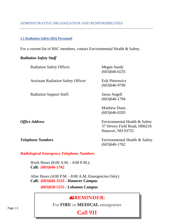#### <span id="page-2-1"></span><span id="page-2-0"></span>ADMINISTRATIVE ORGANIZATION AND RESPONSIBILITIES

#### **1.1 Radiation Safety (RS) Personnel**

For a current list of RSC members, contact Environmental Health & Safety.

#### *Radiation Safety Staff*

| <b>Radiation Safety Officer:</b>           | Megan Sandy<br>$(603)646 - 0235$         |
|--------------------------------------------|------------------------------------------|
| <b>Assistant Radiation Safety Officer:</b> | Erik Pietrowicz<br>$(603)646-9790$       |
| <b>Radiation Support Staff:</b>            | Jason Angell<br>$(603)$ 646-1794         |
|                                            | <b>Matthew Dunn</b><br>$(603)646 - 0283$ |
| <b>Office Address</b>                      | Environmental Health & Safety            |

37 Dewey Field Road, HB6216 Hanover, NH 03755

*Telephone Numbers* Environmental Health & Safety (603)646-1762

*Radiological Emergency Telephone Numbers*

Work Hours (8:00 A.M. - 4:00 P.M.): **Call: (603)646-1762** 

After Hours (4:00 P.M. - 8:00 A.M. Emergencies Only): **Call: (603)646-3333 - Hanover Campus**

**(603)650-5555 - Lebanon Campus**

### **REMINDER:**

For **FIRE** or **MEDICAL** emergencies

## **Call 911**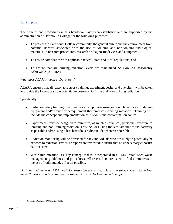#### <span id="page-3-0"></span>**1.2 Purpose**

The policies and procedures in this handbook have been established and are supported by the administration of Dartmouth College for the following purposes:

- To protect the Dartmouth College community, the general public and the environment from potential hazards associated with the use of ionizing and non-ionizing radiological materials in research procedures, research or diagnostic devices and equipment.
- To ensure compliance with applicable federal, state and local regulations; and
- To ensure that all ionizing radiation levels are maintained As Low As Reasonably Achievable (ALARA).

#### *What does ALARA*[1](#page-3-1) *mean at Dartmouth*?

ALARA ensures that all reasonable steps (training, experiment design and oversight) will be taken to provide the lowest possible potential exposure to ionizing and non-ionizing radiation.

Specifically:

- Radiation safety training is required for all employees using radionuclides, x-ray producing equipment and/or any device/equipment that produces ionizing radiation. Training will include the concept and implementation of ALARA and contamination control.
- Experiments must be designed to minimize, as much as practical, personnel exposure to ionizing and non-ionizing radiation. This includes using the least amount of radioactivity as possible and/or using a less hazardous radionuclide whenever possible.
- Radiation monitoring will be provided for any individuals who are likely to potentially be exposed to radiation. Exposure reports are reviewed to ensure that no unnecessary exposure has occurred.
- Waste minimization is a key concept that is incorporated in all EHS established waste management guidelines and procedures. All researchers are asked to find alternatives to the use of radionuclides if at all possible.

*Dartmouth College* ALARA *goals for restricted areas are: Dose rate survey results to be kept under 2mR/hour and contamination survey results to be kept under 100 cpm*

<span id="page-3-1"></span><sup>&</sup>lt;sup>1</sup> See also ALARA Program Policy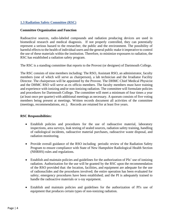#### <span id="page-4-0"></span>**1.3 Radiation Safety Committee (RSC)**

#### **Committee Organization and Function**

Radioactive sources, radio-labeled compounds and radiation producing devices are used in biomedical research and medical diagnosis. If not properly controlled, they can potentially represent a serious hazard to the researcher, the public and the environment. The possibility of harmful effects to the health of individual users and the general public make it imperative to control the use of these materials within the institution. Therefore, to minimize exposures to radiation, the RSC has established a radiation safety program.

The RSC is a standing committee that reports to the Provost (or designee) of Dartmouth College.

The RSC consists of nine members including: The RSO, Assistant RSO, an administrator, faculty members (one of which will serve as chairperson), a lab technician and the Irradiator Facility Director. The chairperson will be appointed by the Provost. The DHMC Chief Medical Physicist and the DHMC RSO will serve as ex officio members. The faculty members must have training and experience with ionizing and/or non-ionizing radiation. The committee will formulate policies and procedures for Dartmouth College. The committee will meet a minimum of four times a year (at least once per quarter) with additional meetings as necessary. A quorum consists of five voting members being present at meetings. Written records document all activities of the committee (meetings, recommendations, etc.). Records are retained for at least five years.

#### **RSC Responsibilities:**

- Establish policies and procedures for the use of radioactive material, laboratory inspections, area surveys, leak testing of sealed sources, radiation safety training, handling of radiological incidents, radioactive material purchases, radioactive waste disposal, and radiation monitoring.
- Provide overall guidance of the RSO including periodic review of the Radiation Safety Program to ensure compliance with State of New Hampshire Radiological Health Section (NHRHS) rules and regulations.
- Establish and maintain policies and guidelines for the authorization of PIs' use of ionizing radiation. Authorization for the use will be granted by the RSC upon the recommendation of the RSO provided that: the location, facilities, and equipment are adequate for the use of radionuclides and the procedures involved; the entire operation has been evaluated for safety; emergency procedures have been established; and the PI is adequately trained to handle the radioactive materials or x-ray equipment.
- Establish and maintain policies and guidelines for the authorization of PI's use of equipment that produces certain types of non-ionizing radiation.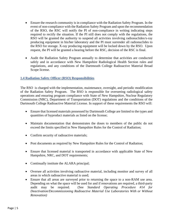- Ensure the research community is in compliance with the Radiation Safety Program. In the event of non-compliance with the Radiation Safety Program and upon the recommendation of the RSO, the RSC will notify the PI of non-compliance in writing indicating steps required to rectify the situation. If the PI still does not comply with the regulations, the RSO will be granted the authority to suspend all activities involving radionuclides/x-ray producing equipment in his/her laboratory and the PI must surrender all radionuclides to the RSO for storage. X-ray producing equipment will be locked down by the RSO. Upon request, the PI will be granted a hearing before the RSC, decision of the RSC is final.
- Audit the Radiation Safety Program annually to determine that activities are conducted safely and in accordance with New Hampshire Radiological Health Section rules and regulations, and any conditions of the Dartmouth College Radioactive Material Broad Scope license.

#### <span id="page-5-0"></span>**1.4 Radiation Safety Officer (RSO) Responsibilities**

The RSO is charged with the implementation, maintenance, oversight, and periodic modification of the Radiation Safety Program. The RSO is responsible for overseeing radiological safety operations and ensuring program compliance with State of New Hampshire, Nuclear Regulatory Commission (NRC), Department of Transportation (DOT) regulations and the conditions of the Dartmouth College Radioactive Material License. In support of these requirements the RSO will:

- Ensure that licensed materials possessed by Dartmouth College are limited to the types and quantities of byproduct materials as listed on the license;
- Maintain documentation that demonstrates the doses to members of the public do not exceed the limits specified in New Hampshire Rules for the Control of Radiation;
- Confirm security of radioactive materials;
- Post documents as required by New Hampshire Rules for the Control of Radiation;
- Ensure that licensed material is transported in accordance with applicable State of New Hampshire, NRC, and DOT requirements;
- Continually institute the ALARA principal;
- Oversee all activities involving radioactive material, including monitor and survey of all areas in which radioactive material is used;
- Ensure that all areas are surveyed prior to returning the space to a non-RAM use area. Depending on what the space will be used for and if renovations are required, a third-party audit may be required. (See *Standard Operating Procedure #14 for Deactivation/Decommissioning Radioactive Material Use Laboratories With or Without Renovation)*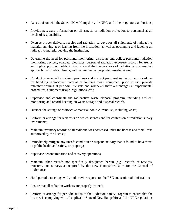- Act as liaison with the State of New Hampshire, the NRC, and other regulatory authorities;
- Provide necessary information on all aspects of radiation protection to personnel at all levels of responsibility;
- Oversee proper delivery, receipt and radiation surveys for all shipments of radioactive material arriving at or leaving from the institution, as well as packaging and labeling all radioactive material leaving the institution;
- Determine the need for personnel monitoring; distribute and collect personnel radiation monitoring devices; evaluate bioassays, personnel radiation exposure records for trends and high exposures; notify individuals and their supervisors of radiation exposures that approach the threshold limits; and recommend appropriate remedial action;
- Conduct or arrange for training programs and instruct personnel in the proper procedures for handling radioactive material or ionizing x-ray equipment prior to use; provide refresher training at periodic intervals and whenever there are changes in experimental procedures, equipment usage, regulations, etc.;
- Supervise and coordinate the radioactive waste disposal program, including effluent monitoring and record-keeping on waste storage and disposal records;
- Oversee the storage of radioactive material not in current use, including waste;
- Perform or arrange for leak tests on sealed sources and for calibration of radiation survey instruments;
- Maintain inventory records of all radionuclides possessed under the license and their limits authorized by the license;
- Immediately mitigate any unsafe condition or suspend activity that is found to be a threat to public health and safety, or property;
- Supervise decontamination and recovery operations;
- Maintain other records not specifically designated herein (e.g., records of receipts, transfers, and surveys as required by the New Hampshire Rules for the Control of Radiation);
- Hold periodic meetings with, and provide reports to, the RSC and senior administration;
- Ensure that all radiation workers are properly trained;
- Perform or arrange for periodic audits of the Radiation Safety Program to ensure that the licensee is complying with all applicable State of New Hampshire and the NRC regulations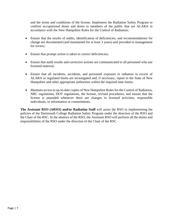and the terms and conditions of the license. Implement the Radiation Safety Program to confirm occupational doses and doses to members of the public that are ALARA in accordance with the New Hampshire Rules for the Control of Radiation;

- Ensure that the results of audits, identification of deficiencies, and recommendations for change are documented (and maintained for at least 3 years) and provided to management for review;
- Ensure that prompt action is taken to correct deficiencies;
- Ensure that audit results and corrective actions are communicated to all personnel who use licensed material;
- Ensure that all incidents, accidents, and personnel exposure to radiation in excess of ALARA or regulated limits are investigated and, if necessary, report to the State of New Hampshire and other appropriate authorities within the required time limits;
- Maintain access to up-to-date copies of New Hampshire Rules for the Control of Radiation, NRC regulations, DOT regulations, the license, revised procedures, and ensure that the license is amended whenever there are changes in licensed activities, responsible individuals, or information or commitments.

**The Assistant RSO (ARSO) and/or Radiation Staff** will assist the RSO in implementing the policies of the Dartmouth College Radiation Safety Program under the direction of the RSO and the Chair of the RSC. In the absence of the RSO, the Assistant RSO will perform all the duties and responsibilities of the RSO under the direction of the Chair of the RSC.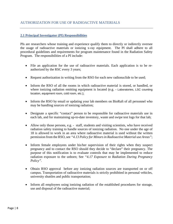#### <span id="page-8-0"></span>AUTHORIZATION FOR USE OF RADIOACTIVE MATERIALS

#### <span id="page-8-1"></span>**2.1 Principal Investigator (PI) Responsibilities**

PIs are researchers whose training and experience qualify them to directly or indirectly oversee the usage of radioactive materials or ionizing x-ray equipment. The PI shall adhere to all procedural guidelines and requirements for program maintenance found in the Radiation Safety Program. The responsibilities of a PI include:

- File an application for the use of radioactive materials. Each application is to be reauthorized by the RSC every 3 years;
- Request authorization in writing from the RSO for each new radionuclide to be used;
- Inform the RSO of all the rooms in which radioactive material is stored, or handled, or where ionizing radiation emitting equipment is located (e.g. - Laboratories, LSC counting location, equipment room, cold room, etc.);
- Inform the RSO by email or updating your lab members on BioRaft of all personnel who may be handling sources of ionizing radiation;
- Designate a specific "contact" person to be responsible for radioactive materials use in each lab, and for maintaining up-to-date inventory, waste and swipe test logs for that lab;
- Allow only those persons, e.g. staff, students and visiting scientists, who have received radiation safety training to handle sources of ionizing radiation. No one under the age of 18 is allowed to work in an area where radioactive material is used without the written permission from the RSO, see *"4.13 Policy for Minors in Radioactive Material use Areas"*;
- Inform female employees under his/her supervision of their rights when they suspect pregnancy and to contact the RSO should they decide to "declare" their pregnancy. The purpose of this notification is to evaluate controls that may be implemented to reduce radiation exposure to the unborn; See *"4.17 Exposure to Radiation During Pregnancy Policy".*
- Obtain RSO approval before any ionizing radiation sources are transported on or off campus. Transportation of radioactive materials is strictly prohibited in personal vehicles, university shuttles and public transportation;
- Inform all employees using ionizing radiation of the established procedures for storage, use and disposal of the radioactive material;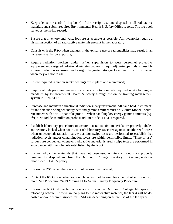- Keep adequate records (a log book) of the receipt, use and disposal of all radioactive materials and submit required Environmental Health & Safety Office reports. The log book serves as the in-lab record;
- Ensure that inventory and waste logs are as accurate as possible. All inventories require a visual inspection of all radioactive materials present in the laboratory;
- Consult with the RSO when changes in the existing use of radionuclides may result in an increase in radiation exposure;
- Require radiation workers under his/her supervision to wear personnel protective equipment and assigned radiation dosimetry badges (if required) during periods of possible external radiation exposure, and assign designated storage locations for all dosimeters when they are not in use;
- Ensure required radiation safety postings are in place and maintained;
- Require all lab personnel under your supervision to complete required safety training as mandated by Environmental Health  $\&$  Safety through the online training management system in BioRAFT;
- Purchase and maintain a functional radiation survey instrument. All hand held instruments for the detection of higher energy beta and gamma emitters must be Ludlum Model 3 countrate meters with a 44-9 "pancake probe". When handling low energy gamma emitters (e.g.  $125$ I) a Na Iodide scintillation probe (Ludlum Model 44-3) is required.
- Establish laboratory procedures to ensure that radioactive materials are properly labeled and securely locked when not in use; each laboratory is secured against unauthorized access when unoccupied; radiation surveys and/or swipe tests are performed to establish that radiation levels and/or contamination levels are within permissible limits; "Time of use" surveys are conducted whenever radioactive material is used; swipe tests are performed in accordance with the schedule established by the RSO.
- Ensure radioactive materials that have not been used within six months are properly removed for disposal and from the Dartmouth College inventory, in keeping with the established ALARA policy.
- Inform the RSO when there is a spill of radioactive material;
- Contact the RS Officer when radionuclides will not be used for a period of six months or more. See Procedure, "4.19 Moving PI to Annual Survey Frequency Procedure".
- Inform the RSO if the lab is relocating to another Dartmouth College lab space or relocating off-site. If there are no plans to use radioactive material, the lab(s) will be deposted and/or decommissioned for RAM use depending on future use of the lab space. If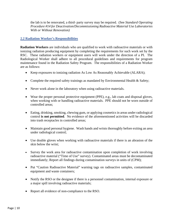the lab is to be renovated, a third- party survey may be required. (See *Standard Operating Procedure #14 for Deactivation/Decommissioning Radioactive Material Use Laboratories With or Without Renovation)*

#### <span id="page-10-0"></span>**2.2 Radiation Worker's Responsibilities**

**Radiation Workers** are individuals who are qualified to work with radioactive materials or with ionizing radiation producing equipment by completing the requirements for such work set by the RSC. These radiation workers or equipment users will work under the direction of a PI. The Radiological Worker shall adhere to all procedural guidelines and requirements for program maintenance found in the Radiation Safety Program. The responsibilities of a Radiation Worker are as follows:

- Keep exposures to ionizing radiation As Low As Reasonably Achievable (ALARA);
- Complete the required safety trainings as mandated by Environmental Health & Safety;
- Never work alone in the laboratory when using radioactive materials.
- Wear the proper personal protective equipment (PPE), e.g., lab coats and disposal gloves, when working with or handling radioactive materials. PPE should not be worn outside of controlled areas;
- Eating, drinking, smoking, chewing gum, or applying cosmetics in areas under radiological control **is not permitted**. No evidence of the aforementioned activities will be discarded into trash receptacles in controlled areas;
- Maintain good personal hygiene. Wash hands and wrists thoroughly before exiting an area under radiological control;
- Use double gloves when working with radioactive materials if there is an abrasion of the skin below the wrist;
- Survey the work area for radioactive contamination upon completion of work involving radioactive material ("Time of Use" survey). Contaminated areas must be decontaminated immediately; Report all findings during contamination surveys in units of (CPM);
- Put "Caution Radioactive Material" warning tags on radioactive samples, contaminated equipment and waste containers;
- Notify the RSO or the designee if there is a personnel contamination, internal exposure or a major spill involving radioactive materials;
- Report all evidence of non-compliance to the RSO.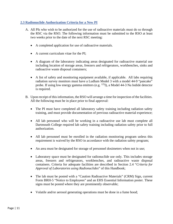#### <span id="page-11-0"></span>**2.3 Radionuclide Authorization Criteria for a New PI**

- A. All PIs who wish to be authorized for the use of radioactive materials must do so through the RSC via the RSO. The following information must be submitted to the RSO at least two weeks prior to the date of the next RSC meeting:
	- A completed application for use of radioactive materials.
	- A current curriculum vitae for the PI;
	- A diagram of the laboratory indicating areas designated for radioactive material use including location of storage areas, freezers and refrigerators, workbenches, sinks and radioactive waste disposal containers;
	- A list of safety and monitoring equipment available, if applicable. All labs requiring radiation survey monitors must have a Ludlum Model 3 with a model 44-9 "pancake" probe. If using low energy gamma emitters (e.g. 125I), a Model 44-3 Na Iodide detector is required.
- B. Upon receipt of this information, the RSO will arrange a time for inspection of the facilities. All the following must be in place prior to final approval:
	- The PI must have completed all laboratory safety training including radiation safety training, and must provide documentation of previous radioactive material experience;
	- All lab personnel who will be working in a radioactive use lab must complete all Dartmouth College required lab safety training including radiation safety prior to full authorization.
	- All lab personnel must be enrolled in the radiation monitoring program unless this requirement is waived by the RSO in accordance with the radiation safety program;
	- An area must be designated for storage of personnel dosimeters when not in use;
	- Laboratory space must be designated for radionuclide use only. This includes storage areas, freezers and refrigerators, workbenches, and radioactive waste disposal containers. Criteria for adequate facilities are described in Section 2.4 "*Criteria for Approval of Laboratories using Radionuclides*" of this Handbook;
	- The lab must be posted with a "Caution Radioactive Materials" (CRM) Sign, current Form BRH-5 "Notice to Employees" and an EHS Essential Information poster. These signs must be posted where they are prominently observable;
	- Volatile and/or aerosol generating operations must be done in a fume hood;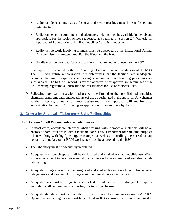- Radionuclide receiving, waste disposal and swipe test logs must be established and maintained;
- Radiation detection equipment and adequate shielding must be available in the lab and appropriate for the radionuclides requested, as specified in Section 2.4 "Criteria for Approval of Laboratories using Radionuclides" of this Handbook;
- Radionuclide work involving animals must be approved by the Institutional Animal Care and Use Committee (IACUC), the RSO, and the RSC;
- Details must be provided for any procedures that are new or unusual to the RSO.
- C. Final approval is granted by the RSC contingent upon the recommendations of the RSO. The RSC will refuse authorization if it determines that the facilities are inadequate, personnel training or experience is lacking or operational and handling procedures are substandard. The RSC will record its review, approval or disapproval in the minutes of the RSC meeting regarding authorization of investigators for use of radionuclides.
- D. Following approval, possession and use will be limited to the specified radionuclides, chemical forms, amounts, and location(s) of use as designated in the approval. Any changes to the materials, amounts or areas designated in the approval will require prior authorization by the RSC following an application for amendment by the PI.

#### <span id="page-12-0"></span>**2.4 Criteria for Approval of Laboratories Using Radionuclides**

#### *Basic Criteria for All Radionuclide Use Laboratories:*

- In most cases, acceptable lab space when working with radioactive materials will be an enclosed room- four walls with a lockable door. This is important for shielding purposes when working with highly energetic isotopes as well as controlling the spread of any contamination. Any other RAM work space must be approved by the RSC.
- The laboratory must be adequately ventilated.
- Adequate work bench space shall be designated and marked for radionuclide use. Work surfaces must be of impervious material that can be easily decontaminated and also include lab matting.
- Adequate storage space must be designated and marked for radionuclides. This includes refrigerators and freezers. All storage equipment must have a secure lock.
- Adequate space must be designated and marked for radioactive waste storage. For liquids, secondary spill containment such as trays or tubs must be used.
- Adequate shielding must be available for use in order to maintain exposures ALARA. Operations and storage areas must be shielded so that exposure levels are maintained at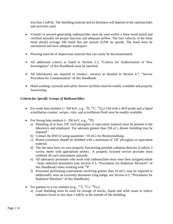less than 2 mR/hr. The shielding material and its thickness will depend on the radionuclides and activities used.

- Volatile or aerosol-generating radionuclides must be used within a fume hood tested and certified annually for proper function and adequate airflow. The face velocity of the fume hood should average 100 lineal feet per minute (LFM air speed). The hood must be uncluttered and have adequate workspace.
- Flooring must be of impervious material that can easily be decontaminated.
- All additional criteria as listed in Section 2.3, "Criteria for Authorization of New Investigators" of this Handbook must be satisfied.
- All laboratories are required to conduct surveys as detailed in Section 4.7, "Survey Procedure for Contamination" of this Handbook.
- Hand washing, eyewash and safety shower facilities must be readily available and properly functioning.

#### *Criteria for Specific Groups of Radionuclides:*

- For weak beta emitters  $(< 200 \text{ keV}, e.g., \, ^3H, \, ^{14}C, \, ^{35}S)$ , a GM with a 44-9 probe and a liquid scintillation counter, swipes, vials, and scintillation fluid must be readily available.
- For Strong beta emitters  $(> 200 \text{ keV}, e.g., <sup>32</sup>P)$ :
	- a) Shielding of at least 3/8" inch plexiglass or equivalent material must be present in the laboratory and employed. For amounts greater than 250 µCi, denser shielding may be required.
	- b) Contact the RSO if using quantities >10 mCi for Bremsstrahlung.
	- c) Waste containers should be shielded with a minimum of 3/8" plexiglass or equivalent material.
	- d) The lab must have its own properly functioning portable radiation detector (Ludlum 3 survey meter with appropriate probe). A properly licensed service provider must calibrate all such instruments annually.
	- e) All laboratory personnel who work with radionuclides must wear their assigned whole - body radiation dosimeters (see Section 4.3, "Procedures for Radiation Monitors" of this Handbook) when working with  $^{32}P$ .
	- f) Personnel performing experiments involving greater than 10 mCi, may be required to additionally wear an extremity dosimeter (ring badge, see Section 4.3, "Procedures for Radiation Monitors" of this Handbook).
- For gamma or x-ray emitters (e.g.,  $^{125}I$ ,  $^{51}Cr$ ,  $^{59}Fe$ .):
	- a) Lead shielding must be used for storage of stocks, liquid and solid waste to reduce radiation levels to less than 2 mR/hr at the outside of the shielding.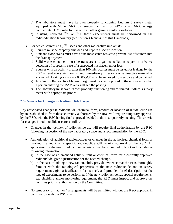- b) The laboratory must have its own properly functioning Ludlum 3 survey meter equipped with Model 44-3 low energy gamma for I-125 or a 44-38 energy compensated GM probe for use with all other gamma emitting isotopes.
- c) If using unbound  $^{125}I$  or  $^{131}I$ , these experiments must be performed in the radioiodination laboratory (see section 4.6 and 4.7 of this Handbook).
- For sealed sources (e.g.,  $^{125}I$  seeds and other radioactive implants):
	- a) Sources must be properly shielded and kept in a secure location.
	- b) Sink and floor drains must have a fine mesh catch basket to prevent loss of sources into the drainage system.
	- c) Solid waste containers must be transparent to gamma radiation to permit effective detection of sources in case of a suspected misplacement or loss.
	- d) Sources with an activity greater than 100 microcuries must be tested for leakage by the RSO at least every six months, and immediately if leakage of radioactive material is suspected. Leaking sources  $(> 0.005 \,\mu\text{C})$  must be removed from service and contained.
	- e) A "Caution Radioactive Material" sign must be visibly posted in the entryway, so that a person entering the RAM area will see the posting.
	- f) The laboratory must have its own properly functioning and calibrated Ludlum 3 survey meter with appropriate probes.

#### <span id="page-14-0"></span>**2.5 Criteria for Changes in Radionuclide Usage**

Any anticipated changes in radionuclide, chemical form, amount or location of radionuclide use by an established PI from those currently authorized by the RSC will require temporary approval by the RSO, with the RSC having final approval decided at the next quarterly meeting. The criteria for changes in radionuclide use are as follows:

- Changes in the *location* of radionuclide use will require final authorization by the RSC following inspection of the new laboratory space and a recommendation by the RSO;
- Authorization of additional radionuclides or changes in the authorized chemical form or maximum amount of a specific radionuclide will require approval of the RSC. An application for the use of radioactive materials must be submitted to RSO and include the following information:
	- a) In the case of an amended activity limit or chemical form for a currently approved radionuclide, give a justification for the needed change.
	- b) In the case of adding a new radionuclide, provide evidence that the PI is thoroughly familiar with the radiological properties of the new radionuclide and its safety requirements, give a justification for its need, and provide a brief description of the type of experiments to be performed. If the new radionuclide has special requirements, e.g. shielding and/or monitoring equipment, the RSO must inspect and approve the facilities prior to authorization by the Committee.
- No temporary or "ad hoc" arrangements will be permitted without the RSO approval in consultation with the RSC chair.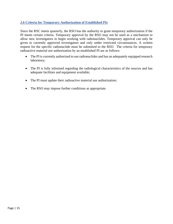#### <span id="page-15-0"></span>**2.6 Criteria for Temporary Authorization of Established PIs**

Since the RSC meets quarterly, the RSO has the authority to grant temporary authorization if the PI meets certain criteria. Temporary approval by the RSO may not be used as a mechanism to allow new investigators to begin working with radionuclides. Temporary approval can only be given to currently approved investigators and only under restricted circumstances. A written request for the specific radionuclide must be submitted to the RSO. The criteria for temporary radioactive material use authorization by an established PI are as follows:

- The PI is currently authorized to use radionuclides and has an adequately equipped research laboratory;
- The PI is fully informed regarding the radiological characteristics of the sources and has adequate facilities and equipment available;
- The PI must update their radioactive material use authorization;
- The RSO may impose further conditions as appropriate.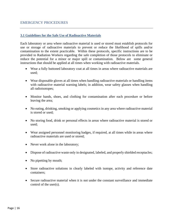#### <span id="page-16-1"></span><span id="page-16-0"></span>**3.1 Guidelines for the Safe Use of Radioactive Materials**

Each laboratory or area where radioactive material is used or stored must establish protocols for use or storage of radioactive materials to prevent or reduce the likelihood of spills and/or contamination to the extent practicable. Within these protocols, specific instructions are to be provided to Radiation Workers regarding the safe completion of those protocols to eliminate or reduce the potential for a minor or major spill or contamination. Below are some general instructions that should be applied at all times when working with radioactive materials.

- Wear a fully buttoned laboratory coat at all times in areas where radioactive materials are used;
- Wear disposable gloves at all times when handling radioactive materials or handling items with radioactive material warning labels; in addition, wear safety glasses when handling all radioisotopes;
- Monitor hands, shoes, and clothing for contamination after each procedure or before leaving the area;
- No eating, drinking, smoking or applying cosmetics in any area where radioactive material is stored or used;
- No storing food, drink or personal effects in areas where radioactive material is stored or used;
- Wear assigned personnel monitoring badges, if required, at all times while in areas where radioactive materials are used or stored;
- Never work alone in the laboratory;
- Dispose of radioactive waste only in designated, labeled, and properly shielded receptacles;
- No pipetting by mouth;
- Store radioactive solutions in clearly labeled with isotope, activity and reference date containers;
- Secure radioactive material when it is not under the constant surveillance and immediate control of the user(s).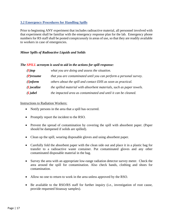#### <span id="page-17-0"></span>**3.2 Emergency Procedures for Handling Spills**

Prior to beginning ANY experiment that includes radioactive material, all personnel involved with that experiment shall be familiar with the emergency response plan for the lab. Emergency phone numbers for RS staff shall be posted conspicuously in areas of use, so that they are readily available to workers in case of emergencies.

#### *Minor Spills of Radioactive Liquids and Solids*

#### *The SPILL acronym is used to aid in the actions for spill response:*

| $(S)$ top     | what you are doing and assess the situation.                         |
|---------------|----------------------------------------------------------------------|
| $(P)$ resume  | that you are contaminated until you can perform a personal survey.   |
| $(I)$ nform   | others about the spill and contact EHS as soon as practical.         |
| $(L)$ ocalize | the spilled material with absorbent materials, such as paper towels. |
| (L)abel       | the impacted area as contaminated and until it can be cleaned.       |

#### Instructions to Radiation Workers:

- Notify persons in the area that a spill has occurred.
- Promptly report the incident to the RSO.
- Prevent the spread of contamination by covering the spill with absorbent paper. (Paper should be dampened if solids are spilled).
- Clean up the spill, wearing disposable gloves and using absorbent paper.
- Carefully fold the absorbent paper with the clean side out and place it in a plastic bag for transfer to a radioactive waste container. Put contaminated gloves and any other contaminated disposable material in the bag.
- Survey the area with an appropriate low-range radiation detector survey meter. Check the area around the spill for contamination. Also check hands, clothing and shoes for contamination.
- Allow no one to return to work in the area unless approved by the RSO.
- Be available to the RSO/RS staff for further inquiry (i.e., investigation of root cause, provide requested bioassay samples).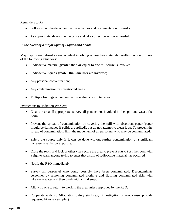#### Reminders to PIs:

- Follow up on the decontamination activities and documentation of results.
- As appropriate, determine the cause and take corrective action as needed.

#### *In the Event of a Major Spill of Liquids and Solids*

Major spills are defined as any accident involving radioactive materials resulting in one or more of the following situations:

- Radioactive material **greater than or equal to one millicurie** is involved;
- Radioactive liquids **greater than one liter** are involved;
- Any personal contamination;
- Any contamination in unrestricted areas;
- Multiple findings of contamination within a restricted area.

#### Instructions to Radiation Workers:

- Clear the area. If appropriate, survey all persons not involved in the spill and vacate the room.
- Prevent the spread of contamination by covering the spill with absorbent paper (paper should be dampened if solids are spilled), but do not attempt to clean it up. To prevent the spread of contamination, limit the movement of all personnel who may be contaminated.
- Shield the source only if it can be done without further contamination or significant increase in radiation exposure.
- Close the room and lock or otherwise secure the area to prevent entry. Post the room with a sign to warn anyone trying to enter that a spill of radioactive material has occurred.
- Notify the RSO immediately.
- Survey all personnel who could possibly have been contaminated. Decontaminate personnel by removing contaminated clothing and flushing contaminated skin with lukewarm water and then wash with a mild soap.
- Allow no one to return to work in the area unless approved by the RSO.
- Cooperate with RSO/Radiation Safety staff (e.g., investigation of root cause, provide requested bioassay samples).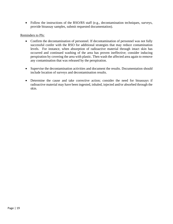• Follow the instructions of the RSO/RS staff (e.g., decontamination techniques, surveys, provide bioassay samples, submit requested documentation).

#### Reminders to PIs:

- Confirm the decontamination of personnel. If decontamination of personnel was not fully successful confer with the RSO for additional strategies that may reduce contamination levels. For instance, when absorption of radioactive material through intact skin has occurred and continued washing of the area has proven ineffective; consider inducing perspiration by covering the area with plastic. Then wash the affected area again to remove any contamination that was released by the perspiration.
- Supervise the decontamination activities and document the results. Documentation should include location of surveys and decontamination results.
- Determine the cause and take corrective action; consider the need for bioassays if radioactive material may have been ingested, inhaled, injected and/or absorbed through the skin.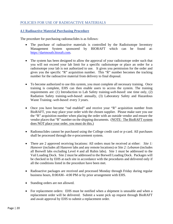#### <span id="page-20-0"></span>POLICIES FOR USE OF RADIOACTIVE MATERIALS

#### <span id="page-20-1"></span>**4.1 Radioactive Material Purchasing Procedure**

The procedure for purchasing radionuclides is as follows:

- The purchase of radioactive materials is controlled by the Radioisotope Inventory Management System sponsored by BIORAFT which can be found at: [https://dartmouth.bioraft.com](https://dartmouth.bioraft.com/)*.*
- The system has been designed to allow the approval of your radioisotope order such that you will not exceed your lab limit for a specific radioisotope or place an order for a radioisotope your lab is not authorized to use. It gives you permission for the order and gives you the specific "R" acquisition number. This "R" number becomes the tracking number for the radioactive material from delivery to final disposal.
- To become authorized to use this system, you must complete all necessary training. Once training is complete, EHS can then enable users to access the system. The training requirements are: (1) Introduction to Lab Safety training-*web-based*: one time only, (2) Radiation Safety training-*web-based*: annually, (3) Laboratory Safety and Hazardous Waste Training -*web-based*: every 3 years.
- Once you have become "rad enabled" and receive your "R" acquisition number from BioRAFT, you may place your order with the chosen supplier. Please make sure you use the "R" acquisition number when placing the order with an outside vendor and ensure the vendor places that "R" number on the shipping documents. (NOTE: The BioRAFT system does NOT place your order, you must do this.)
- Radionuclides cannot be purchased using the College credit card or p-card. All purchases shall be processed through the e-procurement system.
- There are 2 approved receiving locations: All orders must be received at either: *Site 1: Hanover* (includes all Hanover labs and any remote locations) or *Site 2: Lebanon* (includes all Borwell labs excluding Level 4 and all Rubin labs). Site 1 must be addressed to the Vail Loading Dock. Site 2 must be addressed to the Borwell Loading Dock. Packages will be checked in by EHS at each site in accordance with the procedures and delivered only if all the conditions listed in the procedure have been met.
- Radioactive packages are received and processed Monday through Friday during regular business hours, 8:00AM– 4:00 PM or by prior arrangement with EHS.
- Standing orders are not allowed.
- For replacement orders: EHS must be notified when a shipment is unusable and when a replacement order will be delivered. Submit a waste pick up request through BioRAFT and await approval by EHS to submit a replacement order.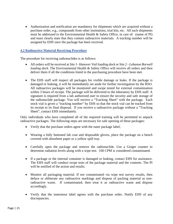• Authorization and notification are mandatory for shipments which are acquired without a purchase order, e.g., compounds from other institutions, trial kits, etc. All such shipments must be addressed to the Environmental Health & Safety Office, in care of: (name of PI) and must clearly state that they contain radioactive materials. A tracking number will be assigned by EHS once the package has been received.

#### <span id="page-21-0"></span>**4.2 Radioactive Material Receiving Procedure**

The procedure for receiving radionuclides is as follows:

- All orders will be received at *Site 1- Hanover Vail loading dock* or *Site 2 - Lebanon Borwell loading dock*. The Environmental Health & Safety Office will receive all orders and then deliver them if all the conditions listed in the purchasing procedure have been met.
- The EHS staff will inspect all packages for visible damage or leaks. If the package is damaged or leaking, it will be immediately set aside for further investigation by the RSO. All radioactive packages will be monitored and swipe tested for external contamination within 3 hours of receipt. The package will be delivered to the laboratory by EHS staff. A signature is required from a lab authorized user to ensure the security and safe storage of the radionuclide package. You will receive a "Tracking Sheet" with the package. Each stock vial is given a "tracking number" by EHS so that the stock vial can be tracked from its receipt to its final disposal. If you receive a radioactive package without a "Tracking Sheet", contact EHS immediately.

Only individuals who have completed all of the required training will be permitted to unpack radioactive packages. The following steps are necessary for safe opening of these packages:

- Verify that the purchase orders agree with the outer package label;
- Wearing a fully buttoned lab coat and disposable gloves, place the package on a bench covered with absorbent paper or a yellow spill tray.
- Carefully open the package and remove the radionuclide. Use a Geiger counter to determine radiation levels along with a wipe test. 100 CPM is considered contaminated.
- If a package or the internal container is damaged or leaking, contact EHS for assistance. The EHS staff will conduct swipe tests of the package material and the contents. The PI will be notified of the action and results.
- Monitor all packaging material. If not contaminated via wipe test survey results, then deface or obliterate any radioactive markings and dispose of packing material as nonradioactive waste. If contaminated, then treat it as radioactive waste and dispose accordingly.
- Verify that the innermost label agrees with the purchase order. Notify EHS of any discrepancies.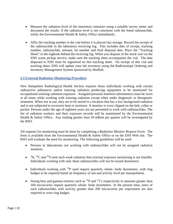- Measure the radiation level of the innermost container using a suitable survey meter and document the results. If the radiation level is not consistent with the listed radionuclide, notify the Environmental Health & Safety Office immediately.
- Affix the tracking number to the vial before it is placed into storage. Record the receipt of the radionuclide in the laboratory receiving log. This includes date of receipt, tracking number, radionuclide, amount, lot number and final disposal date. Place the "Tracking Sheet" in the logbook behind the receiving log. When you dispose of the stock vial via the EHS waste pickup service, make sure the tracking sheet accompanies the vial. The date disposed to EHS must be registered on this tracking sheet. On receipt of this vial and tracking sheet, EHS will update your lab inventory using the Radioisotope Ordering and Inventory Management System sponsored by BioRaft.

#### <span id="page-22-0"></span>**4.3 External Radiation Monitoring Procedure**

New Hampshire Radiological Health Section requires those individuals working with certain radioactive substances and/or ionizing radiation producing equipment to be monitored for occupational ionizing radiation exposure. Assigned personal monitors (dosimeters) must be worn at all times while working with ionizing radiation except when under diagnostic or therapeutic treatment. When not in use, they are to be stored in a location that has a low background radiation and is not subjected to excessive heat or moisture. A monitor is worn clipped on the belt, collar or pocket. Persons under the age of eighteen years are not permitted to work with radionuclides. The list of radiation workers and their exposure records will be maintained by the Environmental Health & Safety Office. Any reading greater than 50 mRem per quarter will be investigated by the RSO.

All requests for monitoring must be done by completing a *Radiation Monitor Request Form.* The form is available from the Environmental Health & Safety Office or on the EHS Web site. The RSO will evaluate the need for monitoring. The following guidelines will be used:

- Persons in laboratories not working with radionuclides will not be assigned radiation monitors.
- $\bullet$  <sup>3</sup>H, <sup>14</sup>C and <sup>35</sup>S emit such weak radiation that external exposure monitoring is not feasible. Individuals working with only these radionuclides will not be issued dosimeters.
- Individuals working with  $^{32}P$  used require quarterly whole- body dosimeters, with ring badges to be required based on frequency of use and activity level per manipulation.
- Strong beta and gamma emitters such as  ${}^{32}P$  and  ${}^{51}Cr$  respectively in amounts greater than 100 microcuries require quarterly whole- body dosimeters. At the present time, users of such radionuclides with activity greater than 200 microcuries per experiment are also required to wear ring badges.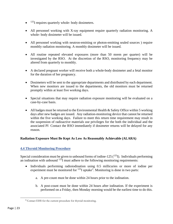- $\bullet$  <sup>125</sup>I requires quarterly whole- body dosimeters.
- All personnel working with X-ray equipment require quarterly radiation monitoring. A whole- body dosimeter will be issued.
- All personnel working with neutron-emitting or photon-emitting sealed sources ) require monthly radiation monitoring. A monthly dosimeter will be issued.
- All routine repeated elevated exposures (more than 50 mrem per quarter) will be investigated by the RSO. At the discretion of the RSO, monitoring frequency may be altered from quarterly to monthly.
- A declared pregnant worker will receive both a whole-body dosimeter and a fetal monitor for the duration of her pregnancy.
- Dosimeters will be sent to the appropriate departments and distributed by each department. When new monitors are issued to the departments, the old monitors must be returned promptly within at least five working days.
- Special situations that may require radiation exposure monitoring will be evaluated on a case-by-case basis.
- All badges must be returned to the Environmental Health & Safety Office within 5 working days after new badges are issued. Any radiation-monitoring device that cannot be returned within the five working days. Failure to meet this return time requirement may result in the suspension of radioactive materials use privileges for the both the individual and the associated PI Contact the RSO immediately if dosimeter returns will be delayed for any reason.

#### **Radiation Exposure Must Be Kept As Low As Reasonably Achievable (ALARA)**

#### <span id="page-23-0"></span>**4.4 Thyroid Monitoring Procedure**

Special consideration must be given to unbound forms of iodine-125  $(^{125}I)$ . Individuals performing an iodination with unbound  $^{125}I$  must adhere to the following monitoring requirements:

- Individuals performing radioiodination using 0.5 millicuries or more of iodine per experiment must be monitored for  $125$  $125$  $125$ I uptake<sup>2</sup>. Monitoring is done in two parts:
	- a. A pre-count must be done within 24 hours prior to the iodination.
	- b. A post-count must be done within 24 hours after iodination. If the experiment is performed on a Friday, then Monday morning would be the earliest time to do this.

<span id="page-23-1"></span><sup>2</sup> Contact EHS for the current procedure for thyroid monitoring.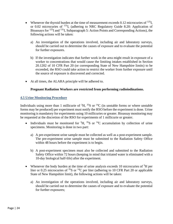- Whenever the thyroid burden at the time of measurement exceeds 0.12 microcuries of  $^{125}I$ , or 0.02 microcuries of 131I, (adhering to NRC Regulatory Guide 8.20: Application of Bioassays for  $^{125}I$  and  $^{131}I$ , Subparagraph 5: Action Points and Corresponding Actions), the following actions will be taken:
	- a) An investigation of the operations involved, including air and laboratory surveys, should be carried out to determine the causes of exposure and to evaluate the potential for further exposures.
	- b) If the investigation indicates that further work in the area might result in exposure of a worker to concentrations that would cause the limiting intakes established in Section 20.1202 of 10 CFR Part 20 (or corresponding State of New Hampshire limits) to be exceeded, the RSO could take action to restrict the worker from further exposure until the source of exposure is discovered and corrected.
- At all times, the ALARA principle will be adhered to.

#### **Pregnant Radiation Workers are restricted from performing radioiodinations.**

#### <span id="page-24-0"></span>**4.5 Urine Monitoring Procedure**

Individuals using more than 1 millicurie of  ${}^{3}H$ ,  ${}^{35}S$  or  ${}^{14}C$  (in unstable forms or where unstable forms may be produced) per experiment must notify the RSO before the experiment is done. Urine monitoring is mandatory for experiments using 10 millicuries or greater. Bioassay monitoring may be requested at the discretion of the RSO for experiments of 1 millicurie or greater.

- Individuals must be monitored for  ${}^{3}H$ ,  ${}^{35}S$  or  ${}^{14}C$  accumulation by collection of urine specimens. Monitoring is done in two part:
	- a) A pre-experiment urine sample must be collected as well as a post-experiment sample. The pre-experiment urine sample must be submitted to the Radiation Safety Office within 48 hours before the experiment is to begin.
	- b) A post-experiment specimen must also be collected and submitted to the Radiation Safety Office within 72 hours (keeping in mind that tritiated water is eliminated with a 10-day biological half-life) after the experiment.
- Whenever the body burden at the time of urine analysis exceeds 10 microcuries of <sup>3</sup>H per liter or 0.25 microcuries of <sup>35</sup>S or <sup>14</sup>C per liter (adhering to 10 CFR Part 20 or applicable State of New Hampshire limit), the following actions will be taken:
	- a) An investigation of the operations involved, including air and laboratory surveys, should be carried out to determine the causes of exposure and to evaluate the potential for further exposures;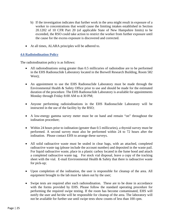- b) If the investigation indicates that further work in the area might result in exposure of a worker to concentrations that would cause the limiting intakes established in Section 20.1202 of 10 CFR Part 20 (of applicable State of New Hampshire limits) to be exceeded, the RSO could take action to restrict the worker from further exposure until the cause for the excess exposure is discovered and corrected.
- At all times, ALARA principles will be adhered to.

#### <span id="page-25-0"></span>**4.6 Radioiodination Policy**

The radioiodination policy is as follows:

- All radioiodinations using greater than 0.5 millicuries of radioiodine are to be performed in the EHS Radionuclide Laboratory located in the Borwell Research Building, Room 582 West);
- An appointment to use the EHS Radionuclide Laboratory must be made through the Environmental Health & Safety Office prior to use and should be made for the estimated duration of the procedure. The EHS Radionuclide Laboratory is available for appointments Monday through Friday 8:00 AM to 4:30 PM;
- Anyone performing radioiodinations in the EHS Radionuclide Laboratory will be instructed in the use of the facility by the RSO;
- A low-energy gamma survey meter must be on hand and remain "on" throughout the iodination procedure;
- Within 24 hours prior to iodination (greater than 0.5 millicuries), a thyroid survey must be performed. A second survey must also be performed within 24 to 72 hours after the iodination. Please contact EHS to arrange these surveys.
- All solid radioactive waste must be sealed in clear bags, with an attached, completed radioactive waste tag (please include the account number) and deposited in the waste pail. For liquid radioactive waste, place in a plastic carboy located in the fume hood and attach a completed radioactive waste tag. For stock vial disposal, leave a copy of the tracking sheet with the vial. E-mail Environmental Health  $&$  Safety that there is radioactive waste for pick-up;
- Upon completion of the iodination, the user is responsible for cleanup of the area. All equipment brought to the lab must be taken out by the user;
- Swipe tests are required after each radioiodination. These are to be done in accordance with the forms provided by EHS. Please follow the standard operating procedure for performing the required swipe testing. If the room has become contaminated, EHS will notify the user and he/she will be responsible for cleanup of the area. The laboratory will not be available for further use until swipe tests show counts of less than 100 cpm.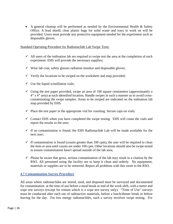• A general cleanup will be performed as needed by the Environmental Health & Safety Office. A lead shield, clear plastic bags for solid waste and trays to work on will be provided. Users must provide any protective equipment needed for the experiment such as disposable gloves.

Standard Operating Procedure for Radionuclide Lab Swipe Tests:

- $\checkmark$  All users of the iodination lab are required to swipe test the area at the completion of each experiment. EHS will provide the necessary supplies;
- $\checkmark$  Wear lab coat, safety glasses radiation monitor and disposable gloves;
- $\checkmark$  Verify the locations to be swiped on the worksheet and map provided;
- $\checkmark$  Use the liquid scintillation vials;
- $\checkmark$  Using the test paper provided, swipe an area of 100 square centimeters (approximately a 4" x 4" area) at each identified location. Handle swipes in such a manner as to avoid crosscontaminating the swipe samples. Areas to be swiped are indicated on the iodination lab map provided by EHS.
- $\checkmark$  Place the test paper in the appropriate vial for counting. Secure caps on vials;
- $\checkmark$  Contact EHS when you have completed the swipe testing. EHS will count the vials and report the results to the user;
- $\checkmark$  If no contamination is found, the EHS Radionuclide Lab will be made available for the next user;
- $\checkmark$  If contamination is found (counts greater than 100 cpm), the user will be required to clean the item or area until counts are under 100 cpm. Other locations should also be swipe tested to ensure contamination hasn't spread outside of the lab area;
- <span id="page-26-0"></span> $\checkmark$  Please be aware that gross, serious contamination of the lab may result in a citation by the RSO. All personnel using the facility are to keep it clean and orderly. No equipment, materials or supplies are to be removed. Report all problems with this room to the RSO.

#### **4.7 Contamination Survey Procedure**

All areas where radionuclides are stored, used, and disposed must be surveyed and documented for contamination at the time of use before a meal break or end of the work shift, with a meter and wipe test surveys (except for tritium which is a wipe test survey only). "Time of Use" surveys must be conducted after each use of radioactive materials, before a lunch/dinner break or before leaving for the day. For low energy radionuclides, such a survey involves swipe testing. For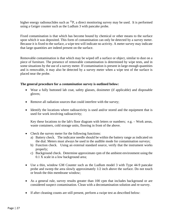higher energy radionuclides such as  ${}^{32}P$ , a direct monitoring survey may be used. It is performed using a Geiger counter such as the Ludlum 3 with pancake probe.

Fixed contamination is that which has become bound by chemical or other means to the surface upon which it was deposited. This form of contamination can only be detected by a survey meter. Because it is fixed to the surface, a wipe test will indicate no activity. A meter survey may indicate that large quantities are indeed present on the surface.

Removable contamination is that which may be wiped off a surface or object, similar to dust on a piece of furniture. The presence of removable contamination is determined by wipe tests, and in some situations by the use of a survey meter. If contamination is present in large enough quantities and is removable, it may also be detected by a survey meter when a wipe test of the surface is placed near the probe.

#### **The general procedure for a** *contamination* **survey is outlined below:**

- Wear a fully buttoned lab coat, safety glasses, dosimeter (if applicable) and disposable gloves;
- Remove all radiation sources that could interfere with the survey;
- Identify the locations where radioactivity is used and/or stored and the equipment that is used for work involving radioactivity;

Key these locations to the lab's floor diagram with letters or numbers; e.g. – Work areas, waste containers, cold storage units, flooring in front of the above.

- Check the survey meter for the following functions:
	- a) Battery check. The indicator needle should be within the battery range as indicated on the dial. Meters must always be used in the audible mode for contamination surveys;
	- b) Function check. Using an external standard source, verify that the instrument works properly;
	- c) Background check. Determine approximate cpm of the ambient environment using the 0.1 X scale in a low background area;
- Use a thin, window GM Counter such as the Ludlum model 3 with Type 44-9 pancake probe and sweep the area slowly approximately 1/2 inch above the surface. Do not touch or brush the thin membrane window;
- As a general rule, survey results greater than 100 cpm that includes background or are considered suspect contamination. Clean with a decontamination solution and re-survey.
- If after cleaning counts are still present, perform a swipe test as described below: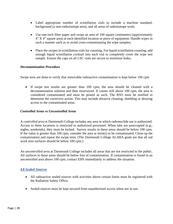- Label appropriate number of scintillation vials to include a machine standard, background (a non-radioisotope area), and all areas of radioisotope work;
- Use one-inch filter paper and swipe an area of 100 square centimeters (approximately 4" X 4" square area) at each identified location or piece of equipment. Handle wipes in such a manner such as to avoid cross-contaminating the wipe samples;
- Place the swipes in scintillation vials for counting. For liquid scintillation counting, add enough liquid scintillation cocktail into each vial to completely cover the wipe test sample. Ensure the caps on all LSC vials are secure to minimize leaks;

#### *Decontamination Procedure*

Swipe tests are done to verify that removable radioactive contamination is kept below 100 cpm

• If swipe test results are greater than 100 cpm, the area should be cleaned with a decontamination solution and then resurveyed. If counts still above 100 cpm, the area is considered contaminated and must be posted as such. The RSO must be notified to determine the corrective action. This may include abrasive cleaning, shielding or denying access to the contaminated areas.

#### *Controlled Areas vs Uncontrolled Areas*

A *controlled area* at Dartmouth College includes any area in which radionuclide use is authorized. Access to these locations is restricted to authorized personnel. When labs are unoccupied (e.g., nights, weekends), they must be locked. Survey results in these areas should be below 100 cpm. If the value is greater than 100 cpm, consider the area or item(s) to be contaminated. Clean up the contamination and repeat the swipe tests. (The Dartmouth College ALARA goals are that all rad work area surfaces should be below 100 cpm.)

An *uncontrolled area* at Dartmouth College includes all areas that are not restricted to the public. All surfaces in these areas should be below free of contamination. If contamination is found in an uncontrolled area above 100 cpm, contact EHS immediately to address the situation.

#### <span id="page-28-0"></span>**4.8 Sealed Sources**

- All radioactive sealed sources with activities above certain limits must be registered with the Radiation Safety Office.
- Sealed sources must be kept secured from unauthorized access when not in use.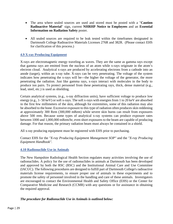- The area where sealed sources are used and stored must be posted with a "**Caution Radioactive Material**" sign, current **NHRHP Notice to Employees** and an **Essential Information on Radiation Safety** poster.
- All sealed sources are required to be leak tested within the timeframes designated in Dartmouth College Radioactive Materials Licenses 276R and 382R. (Please contact EHS for clarification of this process.)

#### <span id="page-29-0"></span>**4.9 X-ray Producing Equipment**

X-rays are electromagnetic energy traveling as waves. They are the same as gamma rays except that gamma rays are emitted from the nucleus of an atom while x-rays originate in the atom's electron cloud. Analytical x-rays are produced by accelerating electrons from a cathode into an anode (target), within an x-ray tube. X-rays can be very penetrating. The voltage of the system indicates how penetrating the x-rays will be---the higher the voltage of the generator, the more penetrating the radiation. Just like gamma rays, x-rays interact with molecules in the body to produce ion pairs. To protect personnel from these penetrating rays, thick, dense material (e.g., lead, steel, etc.) is used as shielding.

Certain analytical systems, (e.g., x-ray diffraction units), have sufficient voltage to produce low energy (e.g., 1- 50 keV) or soft x-rays. The soft x-rays with energies from 1 to 20 keV are absorbed in the first few millimeters of the skin, although for extremities, some of this radiation may also be absorbed to the bone. Excessive exposure to this type of radiation often produces skin reddening at approximately 300 Rem (300,000 mRem) while severe skin burns can result from exposures above 500 rem. Because some types of analytical x-ray systems can produce exposure rates between 1000 and 1,000,000 mRem/hr, even short exposures to the beam are capable of producing damage. For that reason, the primary radiation beam must always be contained in a shield.

All x-ray producing equipment must be registered with EHS prior to purchasing.

Contact EHS for the *"X-ray Producing Equipment Management SOP"* and the *"X-ray Producing Equipment Handbook".*

#### <span id="page-29-1"></span>**4.10 Radionuclide Use in Animals**

The New Hampshire Radiological Health Section regulates many activities involving the use of radionuclides. A policy for the use of radionuclides in animals at Dartmouth has been developed and approved by both the RSC (RSC) and the Institutional Animal Care and Use Committee (IACUC). The following procedures are designed to fulfill part of Dartmouth College's radioactive materials license requirements, to ensure proper use of animals in these experiments and to promote the safety of personnel involved in the handling and care of these animals. Investigators are encouraged to contact the Environmental Health and Safety Office (EHS) or the Center for Comparative Medicine and Research (CCMR) with any questions or for assistance in obtaining the required approval.

#### *The procedure for Radionuclide Use in Animals is outlined below:*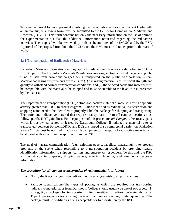To obtain approval for an experiment involving the use of radionuclides in animals at Dartmouth, an animal subjects review form must be submitted to the Center for Comparative Medicine and Research (CCMR). This form contains not only the necessary information on the use of animals for experimentation but also the additional information requested regarding the radioactive materials. The proposal will be reviewed by both a subcommittee of the IACUC and by the RSC. Approval of the proposal from both the IACUC and the RSC must be obtained prior to the start of work.

#### <span id="page-30-0"></span>**4.11 Transportation of Radioactive Materials**

Hazardous Materials Regulations as they apply to radioactive materials are described in 49 CFR 173, Subpart 1. The Hazardous Materials Regulations are designed to ensure that the general public is not at risk from hazardous cargoes being transported on the public transportation system. Material packaging requirements are to ensure (1) packaging material is of sufficient strength and quality to withstand normal transportation conditions; and (2) the selected packaging material must be compatible with the material to be shipped and must be suitable to the level of risk presented by the material.

The Department of Transportation (DOT) defines radioactive material as material having a specific activity greater than 0.002 microcuries/gram. Once identified as radioactive, its description and shipping name need to be identified to properly label the package for shipping and transporting. Therefore, any radioactive material that requires transportation from off-campus locations must follow specific DOT guidelines. For the purposes of this procedure, *off-Campus* refers to any space which is not owned, rented or leased by Dartmouth College. If radioactive material is to be transported (between Borwell /DRTC and DC) or shipped via a commercial carrier, the Radiation Safety Office must be notified in advance. No shipment or transport of radioactive material will be allowed without written the approval from the RSO.

The goal of hazard communication (e.g., shipping papers, labeling, placarding) is to prevent problems at the scene when responding to a transportation accident by providing hazard identification information to shippers, carriers and emergency responders. To this end, the RSO will assist you in preparing shipping papers, marking, labeling, and emergency response information.

#### *The procedure for off-campus transportation of radionuclides is as follows:*

- Notify the RSO that you have radioactive material you wish to ship off-campus.
- Package Identification--The types of packaging which are required for transporting radioactive material at or from Dartmouth College should usually be one of two types: (1) strong, tight packages for transporting limited quantities of radioactive materials; or (2) Type A packages for transporting material in amounts exceeding limited quantities. The package must be certified as being acceptable for transportation by the RSO.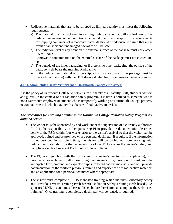- Radioactive materials that are to be shipped as limited quantity must meet the following requirements:
	- a) The material must be packaged in a strong, tight package that will not leak any of the radioactive material under conditions incidental to normal transport. The requirements for shipping containers of radioactive materials should be adequate to assure that in the event of an accident, undamaged packages will be safe.
	- b) The radiation level at any point on the external surface of the package must not exceed 0.5 mR/hour;
	- c) Removable contamination on the external surface of the package must not exceed 100 cpm;
	- d) The outside of the inner packaging, or if there is no inner packaging, the outside of the package itself bears the marking Radioactive;
	- e) If the radioactive material is to be shipped on dry ice via air, the package must be marked (on one side) with the DOT diamond label for miscellaneous dangerous goods;

#### <span id="page-31-0"></span>**4.12 Radionuclide Use by Visitors (non-Dartmouth College employees)**

It is the policy of Dartmouth College to help ensure the safety of all faculty, staff, students, visitors and guests. In the context of our radiation safety program, a visitor is defined as someone who is not a Dartmouth employee or student who is temporarily working on Dartmouth College property to conduct research which may involve the use of radioactive materials.

#### *The procedures for enrolling a visitor in the Dartmouth College Radiation Safety Program are outlined below:*

- The visitor must be sponsored by and work under the supervision of a currently authorized PI. It is the responsibility of the sponsoring PI to provide the documentation described below to the RSO within four weeks prior to the visitor's arrival so that the visitor can be approved, trained and be provided with a personal dosimeter, if required. If the information is not provided in sufficient time, the visitor will be prohibited from working with radioactive materials. It is the responsibility of the PI to ensure the visitor's safety and compliance with all relevant Dartmouth College policies.
- The PI, in conjunction with the visitor and the visitor's institution (if applicable), will provide a cover letter briefly describing the visitor's role, duration of visit and the anticipated type, amount, and expected exposure to radioactive materials; and will provide documentation of the visitor's previous training and experience with radioactive materials and an application for a personal dosimeter where appropriate.
- The visitor must complete all EHS mandated training which includes Laboratory Safety and Hazardous Waste Training (web-based), Radiation Safety Training (web-based). (A sponsored DND account must be established before the visitor can complete the web-based trainings). Once training is complete, a dosimeter will be issued, if required.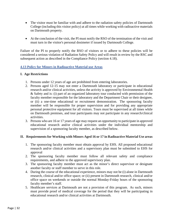- The visitor must be familiar with and adhere to the radiation safety policies of Dartmouth College (including this visitor policy) at all times while working with radioactive materials on Dartmouth property.
- <span id="page-32-0"></span>• At the conclusion of the visit, the PI must notify the RSO of the termination of the visit and must turn in the visitor's personal dosimeter if issued by Dartmouth College.

Failure of the PI to properly notify the RSO of visitors or to adhere to these policies will be considered a serious violation of Radiation Safety Policy and will result in review by the RSC and subsequent action as described in the Compliance Policy (section 4.18).

#### **4.13 Policy for Minors in Radioactive Material use Areas**

#### **I. Age Restrictions**

- 1. Persons under 12 years of age are prohibited from entering laboratories.
- 2. Persons aged 12-15 may not enter a Dartmouth laboratory or participate in educational research and/or clinical activities, unless the activity is approved by Environmental Health & Safety and is: (i) part of an organized laboratory tour conducted with permission of the faculty member responsible for the laboratory and the Department Chair or their designee, or (ii) a one-time educational or recruitment demonstration. The sponsoring faculty member will be responsible for proper supervision and for providing any appropriate personal protective equipment for all visitors. Tours must be supervised at all times while on Dartmouth premises, and tour participants may not participate in any research/clinical activities.
- 3. Persons who are 16 or 17 years of age may request an opportunity to participate in approved educational research and/or clinical activities under the individual mentorship and supervision of a sponsoring faculty member, as described below.

#### **II. Requirements for Working with Minors Aged 16 or 17 in Radioactive Material Use areas**

- 1. The sponsoring faculty member must obtain approval by EHS. All proposed educational research and/or clinical activities and a supervisory plan must be submitted to EHS for approval
- 2. The sponsoring faculty member must follow all relevant safety and compliance requirements, and adhere to the approved supervisory plan.
- 3. The sponsoring faculty member must act as the minor's direct supervisor or designate another faculty or staff member to serve in this role.
- 4. During the course of the educational experience, minors may not be (i) alone in Dartmouth research, clinical and/or office space; or (ii) present in Dartmouth research, clinical and/or office space on weekends or outside the normal Monday-Friday hours of the sponsoring faculty member's staff.
- 5. Healthcare services at Dartmouth are not a provision of this program. As such, minors must provide proof of medical coverage for the period that they will be participating in educational research and/or clinical activities at Dartmouth.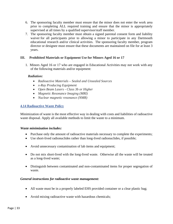- 6. The sponsoring faculty member must ensure that the minor does not enter the work area prior to completing ALL required training and ensure that the minor is appropriately supervised at all times by a qualified supervisor/staff member.
- 7. The sponsoring faculty member must obtain a signed parental consent form and liability waiver for all participants prior to allowing a minor to participate in any Dartmouth educational research and/or clinical activities. The sponsoring faculty member, program director or designee must ensure that these documents are maintained on file for at least 3 years.

#### **III. Prohibited Materials or Equipment Use for Minors Aged 16 or 17**

1. Minors Aged 16 or 17 who are engaged in Educational Activities may not work with any of the following materials and/or equipment:

#### *Radiation:*

- *Radioactive Materials – Sealed and Unsealed Sources*
- *x-Ray Producing Equipment*
- *Open Beam Lasers - Class 3b or Higher*
- *Magnetic Resonance Imaging (MRI)*
- *Nuclear magnetic resonance (NMR)*

#### <span id="page-33-0"></span>**4.14 Radioactive Waste Policy**

Minimization of waste is the most effective way in dealing with costs and liabilities of radioactive waste disposal. Apply all available methods to limit the waste to a minimum.

#### *Waste minimization includes:*

- Purchase only the amount of radioactive materials necessary to complete the experiments;
- Use short-lived radionuclides rather than long-lived radionuclides, if possible;
- Avoid unnecessary contamination of lab items and equipment;
- Do not mix short-lived with the long-lived waste. Otherwise all the waste will be treated as a long-lived waste;
- Distinguish between contaminated and non-contaminated items for proper segregation of waste.

#### *General instructions for radioactive waste management:*

- All waste must be in a properly labeled EHS provided container or a clear plastic bag;
- Avoid mixing radioactive waste with hazardous chemicals;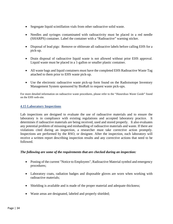- Segregate liquid scintillation vials from other radioactive solid waste.
- Needles and syringes contaminated with radioactivity must be placed in a red needle (SHARPS) container. Label the container with a "Radioactive" warning sticker.
- Disposal of lead pigs: Remove or obliterate all radioactive labels before calling EHS for a pick-up.
- Drain disposal of radioactive liquid waste is not allowed without prior EHS approval. Liquid waste must be placed in a 1-gallon or smaller plastic container.
- All waste bags and liquid containers must have the completed EHS Radioactive Waste Tag attached to them prior to EHS waste pick-up.
- Use the electronic radioactive waste pick-up form found on the Radioisotope Inventory Management System sponsored by BioRaft to request waste pick-ups.

For more detailed information on radioactive waste procedures, please refer to the "*Hazardous Waste Guide*" found on the EHS web-site.

#### <span id="page-34-0"></span>**4.15 Laboratory Inspections**

Lab inspections are designed to evaluate the use of radioactive materials and to ensure the laboratory is in compliance with existing regulations and accepted laboratory practice. It determines if radioactive materials are being received, used and stored properly. It also evaluates any potential problem of misusing and mishandling of radioactive materials and waste. If there are violations cited during an inspection, a researcher must take corrective action promptly. Inspections are performed by the RSO, or designee. After the inspection, each laboratory will receive a written report describing inspection results and any corrective actions that need to be followed.

#### *The following are some of the requirements that are checked during an inspection:*

- Posting of the current "Notice to Employees", Radioactive Material symbol and emergency procedures;
- Laboratory coats, radiation badges and disposable gloves are worn when working with radioactive materials;
- Shielding is available and is made of the proper material and adequate thickness;
- Waste areas are designated, labeled and properly shielded;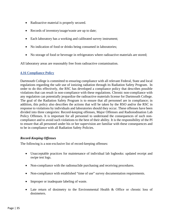- Radioactive material is properly secured.
- Records of inventory/usage/waste are up to date;
- Each laboratory has a working and calibrated survey instrument;
- No indication of food or drinks being consumed in laboratories;
- No storage of food or beverage in refrigerators where radioactive materials are stored;

All laboratory areas are reasonably free from radioactive contamination.

#### <span id="page-35-0"></span>**4.16 Compliance Policy**

Dartmouth College is committed to ensuring compliance with all relevant Federal, State and local regulations regarding the safe use of ionizing radiation through its Radiation Safety Program. In order to do this effectively, the RSC has developed a compliance policy that describes possible violations that can result in non-compliance with these regulations. Chronic non-compliance with any regulation can potentially jeopardize the radioactive materials license for Dartmouth College. The goal of the Radiation Safety Program is to ensure that all personnel are in compliance; in addition, this policy also describes the actions that will be taken by the RSO and/or the RSC in response to violations by individuals and laboratories should they occur. These offenses have been divided into three categories: Record-keeping offenses, Major Offenses and Radioiodination Lab Policy Offenses. It is important for all personnel to understand the consequences of such noncompliance and to avoid such violations to the best of their ability. It is the responsibility of the PI to ensure that all personnel under his or her supervision are familiar with these consequences and to be in compliance with all Radiation Safety Policies.

#### *Record-Keeping Offenses*

The following is a non-exclusive list of record-keeping offenses:

- Unacceptable practices for maintenance of individual lab logbooks: updated receipt and swipe test logs.
- Non-compliance with the radionuclide purchasing and receiving procedures.
- Non-compliance with established "time of use" survey documentation requirements.
- Improper or inadequate labeling of waste.
- Late return of dosimetry to the Environmental Health & Office or chronic loss of dosimeters.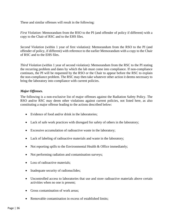These and similar offenses will result in the following:

*First Violation*: Memorandum from the RSO to the PI (and offender of policy if different) with a copy to the Chair of RSC and to the EHS files.

*Second Violation* (within 1 year of first violation): Memorandum from the RSO to the PI (and offender of policy, if different) with reference to the earlier Memorandum with a copy to the Chair of RSC and to the EHS files.

*Third Violation* (within 1 year of second violation): Memorandum from the RSC to the PI stating the recurring problem and dates by which the lab must come into compliance. If non-compliance continues, the PI will be requested by the RSO or the Chair to appear before the RSC to explain the non-compliance problem. The RSC may then take whatever other action it deems necessary to bring the laboratory into compliance with current policies.

#### *Major Offenses.*

The following is a non-exclusive list of major offenses against the Radiation Safety Policy. The RSO and/or RSC may deem other violations against current policies, not listed here, as also constituting a major offense leading to the actions described below:

- Evidence of food and/or drink in the laboratories:
- Lack of safe work practices with disregard for safety of others in the laboratory;
- Excessive accumulation of radioactive waste in the laboratory;
- Lack of labeling of radioactive materials and waste in the laboratory;
- Not reporting spills to the Environmental Health & Office immediately;
- Not performing radiation and contamination surveys;
- Loss of radioactive materials;
- Inadequate security of radionuclides;
- Uncontrolled access to laboratories that use and store radioactive materials above certain activities when no one is present;
- Gross contamination of work areas;
- Removable contamination in excess of established limits;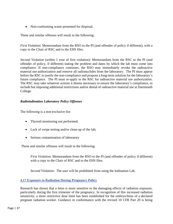• Non-conforming waste presented for disposal.

These and similar offenses will result in the following:

*First Violation*: Memorandum from the RSO to the PI (and offender of policy if different), with a copy to the Chair of RSC and to the EHS files.

*Second Violation* (within 1 year of first violation): Memorandum from the RSC to the PI (and offender of policy, if different) stating the problem and dates by which the lab must come into compliance. If non-compliance continues, the RSO may immediately revoke the radioactive material use authorization and remove all radionuclides from the laboratory. The PI must appear before the RSC to justify the non-compliance and propose a long-term solution for the laboratory's future compliance. The PI must re-apply to the RSC for radioactive material use authorization. The RSC may take whatever actions it deems necessary to ensure the laboratory's compliance, to include but imposing additional restrictions and/or denial of radioactive material use at Dartmouth College.

#### *Radioiodination Laboratory Policy Offenses*

The following is a non-exclusive list:

- Thyroid monitoring not performed;
- Lack of swipe testing and/or clean-up of the lab;
- Serious contamination of laboratory

These and similar offenses will result in the following:

*First Violation*: Memorandum from the RSO to the PI (and offender of policy if different) with a copy to the Chair of RSC and to the EHS files.

*Second Violation*: The user will be prohibited from using the Iodination Lab.

#### <span id="page-37-0"></span>**4.17 Exposure to Radiation During Pregnancy Policy**

Research has shown that a fetus is more sensitive to the damaging effects of radiation exposure, particularly during the first trimester of the pregnancy. In recognition of this increased radiation sensitivity, a more restrictive dose limit has been established for the embryo/fetus of a declared pregnant radiation worker. Guidance in conformance with the revised 10 CFR Part 20 is being

.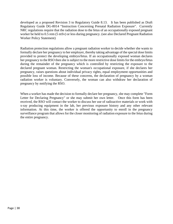developed as a proposed Revision 3 to Regulatory Guide 8.13. It has been published as Draft Regulatory Guide DG-8014 "Instruction Concerning Prenatal Radiation Exposure". Currently NRC regulations require that the radiation dose to the fetus of an occupationally exposed pregnant worker be held to 0.5 rem (5 mSv) or less during pregnancy. (see also Declared Pregnant Radiation Worker Policy Statement)

Radiation protection regulations allow a pregnant radiation worker to decide whether she wants to formally declare her pregnancy to her employer, thereby taking advantage of the special dose limits provided to protect the developing embryo/fetus. If an occupationally exposed woman declares her pregnancy to the RSO then she is subject to the more restrictive dose limits for the embryo/fetus during the remainder of the pregnancy which is controlled by restricting the exposure to the declared pregnant woman. Restricting the woman's occupational exposure, if she declares her pregnancy, raises questions about individual privacy rights, equal employment opportunities and possible loss of income. Because of these concerns, the declaration of pregnancy by a woman radiation worker is voluntary. Conversely, the woman can also withdraw her declaration of pregnancy by notifying the RSO.

When a worker has made the decision to formally declare her pregnancy, she may complete "Form Letter for Declaring Pregnancy" or she may submit her own letter. Once this form has been received, the RSO will contact the worker to discuss her use of radioactive materials or work with x-ray producing equipment in the lab, her previous exposure history and any other relevant information. At this time, the worker is offered the opportunity to enroll in the pregnancy surveillance program that allows for the closer monitoring of radiation exposure to the fetus during the entire pregnancy.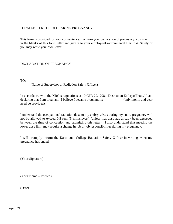#### FORM LETTER FOR DECLARING PREGNANCY

This form is provided for your convenience. To make your declaration of pregnancy, you may fill in the blanks of this form letter and give it to your employer/Environmental Health & Safety or you may write your own letter.

#### DECLARATION OF PREGNANCY

TO: \_\_\_\_\_\_\_\_\_\_\_\_\_\_\_\_\_\_\_\_\_\_\_\_\_\_\_\_\_\_\_\_\_\_\_\_\_\_\_\_\_\_\_\_\_\_\_\_\_\_\_\_\_\_

(Name of Supervisor or Radiation Safety Officer)

In accordance with the NRC's regulations at 10 CFR 20.1208, "Dose to an Embryo/Fetus," I am declaring that I am pregnant. I believe I became pregnant in: (only month and year need be provided).

I understand the occupational radiation dose to my embryo/fetus during my entire pregnancy will not be allowed to exceed 0.5 rem (5 millisievert) (unless that dose has already been exceeded between the time of conception and submitting this letter). I also understand that meeting the lower dose limit may require a change in job or job responsibilities during my pregnancy.

I will promptly inform the Dartmouth College Radiation Safety Officer in writing when my pregnancy has ended.

(Your Signature)

(Your Name – Printed)

(Date)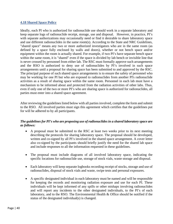#### <span id="page-40-0"></span>**4.18 Shared Space Policy**

Ideally, each PI who is authorized for radionuclide use should work in a separate laboratory and keep separate logs of radionuclide receipt, storage, use and disposal. However, in practice, PI's with separate authorizations may occasionally need or find it desirable to share laboratory space and use different radionuclides in the same room(s). According to the State and NRC Guidelines, "shared space" means any two or more authorized investigators who are in the same room (as defined by a space fully enclosed by walls and doors), whether or not bench space and/or equipment within the room is actually shared. For example, if two PI's have separate bench space within the same room, it is "shared" even if the space is divided by lab bench or invisible line that is never crossed by personnel from either lab. The RSC must formally approve such arrangements and the RSO is authorized to deny use of radionuclides by PI's involved in such space arrangements until a proposal for sharing space has been submitted to and approved by the RSC. The principal purpose of such shared space arrangements is to ensure the safety of personnel who may be working for one PI but who are exposed to radionuclides from another PI's radionuclide activities as a result of sharing space within the same room. Personnel in each lab must have a mechanism to be informed about and protected from the radiation activities of other labs. Thus, even if only one of the two or more PI's who are sharing space is authorized for radionuclides, all parties must enter into a shared space agreement.

After reviewing the guidelines listed below with all parties involved, complete the form and submit to the RSO. All involved parties must sign this agreement which certifies that the guidelines put for will be adhered to by all participants.

#### *The guidelines for PI's who are proposing use of radionuclides in a shared laboratory space are as follows:*

- A proposal must be submitted to the RSC at least two weeks prior to its next meeting describing the protocols for sharing laboratory space. The proposal should be developed, written and co-signed by all PI's involved in the shared space arrangement. A cover letter also co-signed by the participants should briefly justify the need for the shared lab space and include responses to all the information requested in these guidelines.
- The proposal must include diagrams of all involved laboratory space, indicating the specific locations for radionuclide use, storage of stock vials, waste storage and disposal.
- Each laboratory will keep separate logbooks recording receipt of stocks, storage and use of radionuclides, disposal of stock vials and waste, swipe tests and personal exposures.
- A specific designated individual in each laboratory must be named and will be responsible for keeping the records and monitoring radiation exposure and use for each PI. These individuals will be kept informed of any spills or other mishaps involving radionuclides and will report any incidents to the other designated individuals, to the PI's of each laboratory, and to the RSO. The Environmental Health & Office should be notified if the status of the designated individual(s) is changed.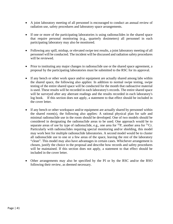- A joint laboratory meeting of all personnel is encouraged to conduct an annual review of radiation use, safety procedures and laboratory space arrangements.
- If one or more of the participating laboratories is using radionuclides in the shared space that require personal monitoring (e.g., quarterly dosimeters) all personnel in each participating laboratory may also be monitored.
- Following any spill, mishap, or elevated swipe test results, a joint laboratory meeting of all personnel will be conducted. The incident will be discussed and radiation safety procedures will be reviewed.
- Prior to instituting any major changes in radionuclide use or the shared space agreement, a proposal by the participating laboratories must be submitted to the RSC for its approval.
- If any bench or other work space and/or equipment are actually shared among labs within the shared space, the following also applies: In addition to normal swipe testing, swipe testing of the entire shared space will be conducted for the month that radioactive material is used. These results will be recorded in each laboratory's records. The entire shared space will be surveyed after any aberrant readings and the results recorded in each laboratory's log book. If this section does not apply, a statement to that effect should be included in the cover letter.
- If any bench or other workspace and/or equipment are actually shared by personnel within the shared room(s), the following also applies: A rational physical plan for safe and minimal radionuclide use in the room should be developed. One of two models should be considered in designating the radionuclide areas to be used. One approach would be to separate areas of use by type of radionuclide, e.g., one area for  ${}^{32}P$ , another area for  ${}^{51}Cr$ . Particularly with radionuclides requiring special monitoring and/or shielding, this model may work best for multiple radionuclide laboratories. A second model would be to cluster all radionuclide use to one or a few areas of the space, leaving the rest of the laboratory "clean". This model may also have advantages in certain cases. Whichever arrangement is chosen, justify the choice in the proposal and describe how records and safety procedures will be maintained. If this section does not apply, a statement to that effect should be included in the cover letter.
- Other arrangements may also be specified by the PI or by the RSC and/or the RSO following their review, as deemed necessary.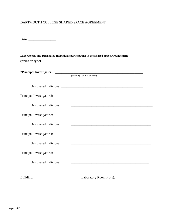#### DARTMOUTH COLLEGE SHARED SPACE AGREEMENT

Date: \_\_\_\_\_\_\_\_\_\_\_\_\_\_\_\_

| Laboratories and Designated Individuals participating in the Shared Space Arrangement |  |
|---------------------------------------------------------------------------------------|--|
| (print or type)                                                                       |  |

|                        | (primary contact person)                                                                                             |  |
|------------------------|----------------------------------------------------------------------------------------------------------------------|--|
|                        |                                                                                                                      |  |
|                        |                                                                                                                      |  |
| Designated Individual: | <u> 1989 - Jan Barbara, margaret eta biztanleria (h. 1989).</u>                                                      |  |
|                        |                                                                                                                      |  |
| Designated Individual: | <u> 1989 - Johann Barbara, martin amerikan basal dan berasal dan berasal dalam basal dan berasal dan berasal dan</u> |  |
|                        |                                                                                                                      |  |
| Designated Individual: | <u> 2008 - Jan James James James James James James James James James James James James James James James James J</u> |  |
|                        |                                                                                                                      |  |
| Designated Individual: |                                                                                                                      |  |
|                        | Laboratory Room No(s):                                                                                               |  |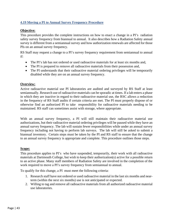#### <span id="page-43-0"></span>**4.19 Moving a PI to Annual Survey Frequency Procedure**

#### **Objective:**

This procedure provides the complete instructions on how to enact a change in a PI's radiation safety survey frequency from biannual to annual. It also describes how a Radiation Safety annual survey is different from a semiannual survey and how authorization renewals are affected for those PIs on an annual survey frequency.

RS Staff may request a change to a PI's survey frequency requirement from semiannual to annual if:

- The PI's lab has not ordered or used radioactive materials for at least six months and,
- The PI is prepared to remove all radioactive materials from their possession and,
- The PI understands that their radioactive material ordering privileges will be temporarily disabled while they are on an annual survey frequency.

#### **Overview:**

Active radioactive material use PI laboratories are audited and surveyed by RS Staff at least semiannually. Research use of radioactive materials can be sporadic at times. If a lab enters a phase in which they are inactive in regard to their radioactive material use, the RSC allows a reduction in the frequency of RS Staff audits if certain criteria are met. The PI must properly dispose of or otherwise find an authorized PI to take responsibility for radioactive materials needing to be maintained. RS staff can sometimes assist with storage, where appropriate.

With an annual survey frequency, a PI will still maintain their radioactive material use authorizations, but their radioactive material ordering privileges will be paused while they have an annual survey frequency. The lab will sustain fewer responsibilities while under an annual survey frequency including not having to perform lab surveys. The lab will still be asked to submit a biannual inventory. Certain steps must be taken by the PI and RS staff to ensure that the change to an annual survey frequency is appropriate and complete. This procedure outlines those steps.

#### **Scope:**

This procedure applies to PI's who have suspended, temporarily, their work with all radioactive materials at Dartmouth College, but wish to keep their authorization(s) active for a possible return to an active phase. Many staff members of Radiation Safety are involved in the completion of the work required to move a PI's survey frequency from semiannual to annual.

To qualify for this change, a PI must meet the following criteria:

- 1. Research staff have not ordered or used radioactive material in the last six months and nearterm (within the next six months) use is not anticipated or expected.
- 2. Willing to tag and remove all radioactive materials from all authorized radioactive material use laboratories.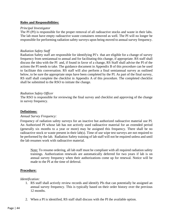#### **Roles and Responsibilities:**

#### *Principal Investigator*

The PI (PI) is responsible for the proper removal of all radioactive stocks and waste in their labs. The lab must have empty radioactive waste containers removed as well. The PI will no longer be responsible for performing radiation safety surveys upon being moved to annual survey frequency.

#### *Radiation Safety Staff*

Radiation Safety staff are responsible for identifying PI's that are eligible for a change of survey frequency from semiannual to annual and for facilitating this change, if appropriate. RS staff shall discuss the idea with the PI and, if found in favor of a change, RS Staff shall advise the PI of the actions the PI needs to take. The guidance document in Appendix B of this procedure can be used to facilitate this conversation. RS staff will also perform a final semiannual survey as outlined below, to be sure the appropriate steps have been completed by the PI. As part of the final survey, RS staff shall complete the checklist in Appendix A of this procedure. The completed checklist shall be submitted to the RSO to initiate the change.

#### *Radiation Safety Officer*

The RSO is responsible for reviewing the final survey and checklist and approving of the change in survey frequency.

#### **Definitions:**

#### *Annual Survey Frequency:*

Frequency of radiation safety surveys for an inactive but authorized radioactive material use PI. An Authorized PI whose lab has not actively used radioactive material for an extended period (generally six months to a year or more) may be assigned this frequency. There shall be no radioactive stock or waste present in their lab(s). Time of use wipe test surveys are not required to be performed by the lab. Radiation Safety training of lab staff will not be required unless and until the lab resumes work with radioactive material.

Note: To resume ordering, all lab staff must be compliant with all required radiation safety trainings. Authorization renewals are automatically deferred for two years if lab is on annual survey frequency when their authorizations come up for renewal. Notice will be made to the PI at the time of deferral.

#### **Procedure:**

#### *Identification:*

- 1. RS staff shall actively review records and identify PIs that can potentially be assigned an annual survey frequency. This is typically based on their order history over the previous 12 months.
- 2. When a PI is identified, RS staff shall discuss with the PI the available option.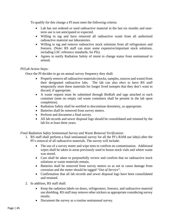To qualify for this change a PI must meet the following criteria:

- Lab has not ordered or used radioactive material in the last six months and nearterm use is not anticipated or expected.
- Willing to tag and have removed all radioactive waste from all authorized radioactive material use laboratories.
- Willing to tag and remove radioactive stock solutions from all refrigerators and freezers. (Note: RS staff can store some expensive/important stock solutions, including LSC reference standards, for PIs).
- Agrees to notify Radiation Safety of intent to change status from semiannual to annual.

#### *PI/Lab Action Steps:*

Once the PI decides to go on annual survey frequency they shall:

- Properly remove all radioactive materials (stocks, samples, sources and waste) from their designated radioactive labs. The lab can also elect to have RS staff temporarily store these materials for longer lived isotopes that they don't want to discard, if appropriate.
- A waste request must be submitted through BioRaft and tags attached to each container (note no empty rad waste containers shall be present in the lab upon completion).
- Radiation Safety shall be notified to discontinue dosimetry, as appropriate.
- Batteries shall be removed from survey meters.
- Perform and document a final survey.
- All lab records and sewer disposal logs should be consolidated and retained by the lab for at least three years.

#### *Final Radiation Safety Semiannual Survey and Waste Removal Verification:*

- 1. RS staff shall perform a final semiannual survey for all the PI's RAM use lab(s) after the PI's removal of all radioactive materials. The survey will include:
	- The use of a survey meter and wipe tests to confirm no contamination. Additional wipes shall be taken in areas previously used to house stock vials and where waste was stored.
	- Care shall be taken to purposefully review and confirm that no radioactive stock solutions or waste materials remain.
	- Batteries shall be removed from survey meters so as not to cause damage from corrosion and the meter should be tagged "*Out of Service*".
	- Confirmation that all lab records and sewer disposal logs have been consolidated and retained.
- 2. In addition, RS staff shall:
	- Keep the radiation labels on doors, refrigerators, freezers, and radioactive material use shielding. RS staff may remove other stickers as appropriate considering survey results.
	- Document the survey as a routine semiannual survey.